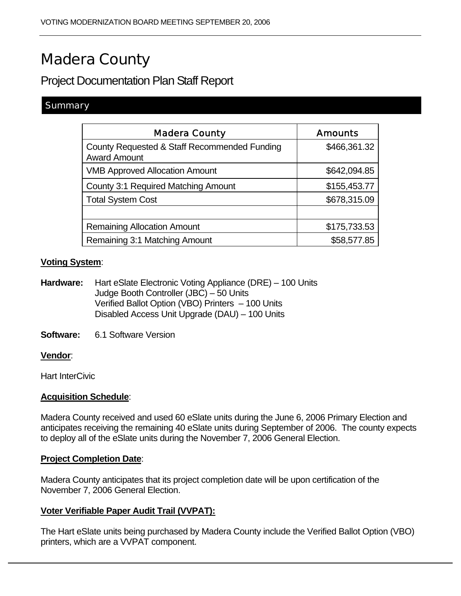# Madera County

# Project Documentation Plan Staff Report

#### **Summary**

| <b>Madera County</b>                                                | <b>Amounts</b> |
|---------------------------------------------------------------------|----------------|
| County Requested & Staff Recommended Funding<br><b>Award Amount</b> | \$466,361.32   |
| <b>VMB Approved Allocation Amount</b>                               | \$642,094.85   |
| <b>County 3:1 Required Matching Amount</b>                          | \$155,453.77   |
| <b>Total System Cost</b>                                            | \$678,315.09   |
|                                                                     |                |
| <b>Remaining Allocation Amount</b>                                  | \$175,733.53   |
| Remaining 3:1 Matching Amount                                       | \$58,577.85    |

#### **Voting System**:

**Hardware:** Hart eSlate Electronic Voting Appliance (DRE) – 100 Units Judge Booth Controller (JBC) – 50 Units Verified Ballot Option (VBO) Printers – 100 Units Disabled Access Unit Upgrade (DAU) – 100 Units

**Software:** 6.1 Software Version

#### **Vendor**:

Hart InterCivic

#### **Acquisition Schedule**:

Madera County received and used 60 eSlate units during the June 6, 2006 Primary Election and anticipates receiving the remaining 40 eSlate units during September of 2006. The county expects to deploy all of the eSlate units during the November 7, 2006 General Election.

#### **Project Completion Date**:

Madera County anticipates that its project completion date will be upon certification of the November 7, 2006 General Election.

#### **Voter Verifiable Paper Audit Trail (VVPAT):**

The Hart eSlate units being purchased by Madera County include the Verified Ballot Option (VBO) printers, which are a VVPAT component.